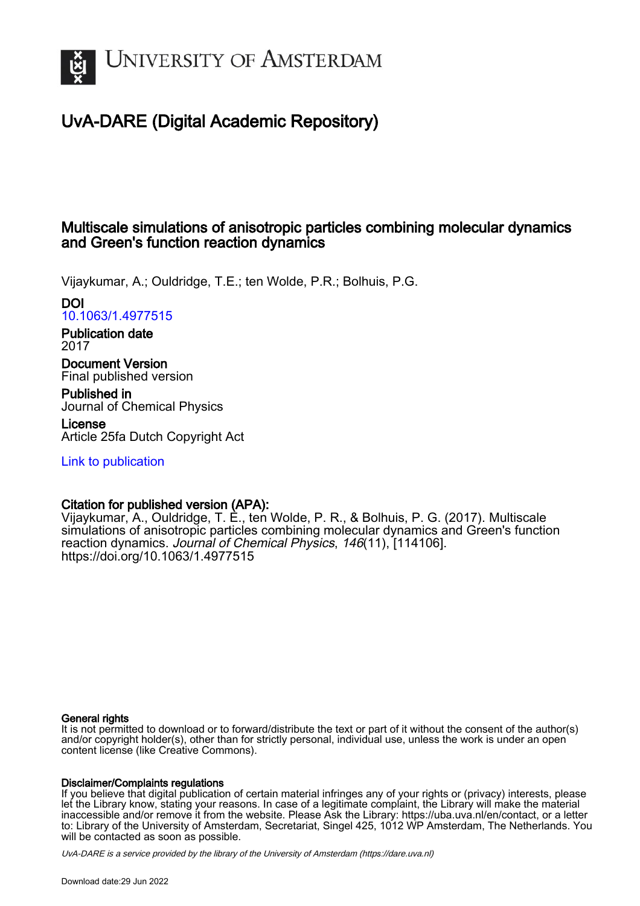

# UvA-DARE (Digital Academic Repository)

# Multiscale simulations of anisotropic particles combining molecular dynamics and Green's function reaction dynamics

Vijaykumar, A.; Ouldridge, T.E.; ten Wolde, P.R.; Bolhuis, P.G.

DOI [10.1063/1.4977515](https://doi.org/10.1063/1.4977515)

Publication date 2017

Document Version Final published version

Published in Journal of Chemical Physics

License Article 25fa Dutch Copyright Act

[Link to publication](https://dare.uva.nl/personal/pure/en/publications/multiscale-simulations-of-anisotropic-particles-combining-molecular-dynamics-and-greens-function-reaction-dynamics(27a3c7dd-c21a-4424-a805-ed013640729e).html)

# Citation for published version (APA):

Vijaykumar, A., Ouldridge, T. E., ten Wolde, P. R., & Bolhuis, P. G. (2017). Multiscale simulations of anisotropic particles combining molecular dynamics and Green's function reaction dynamics. Journal of Chemical Physics, 146(11), [114106]. <https://doi.org/10.1063/1.4977515>

# General rights

It is not permitted to download or to forward/distribute the text or part of it without the consent of the author(s) and/or copyright holder(s), other than for strictly personal, individual use, unless the work is under an open content license (like Creative Commons).

# Disclaimer/Complaints regulations

If you believe that digital publication of certain material infringes any of your rights or (privacy) interests, please let the Library know, stating your reasons. In case of a legitimate complaint, the Library will make the material inaccessible and/or remove it from the website. Please Ask the Library: https://uba.uva.nl/en/contact, or a letter to: Library of the University of Amsterdam, Secretariat, Singel 425, 1012 WP Amsterdam, The Netherlands. You will be contacted as soon as possible.

UvA-DARE is a service provided by the library of the University of Amsterdam (http*s*://dare.uva.nl)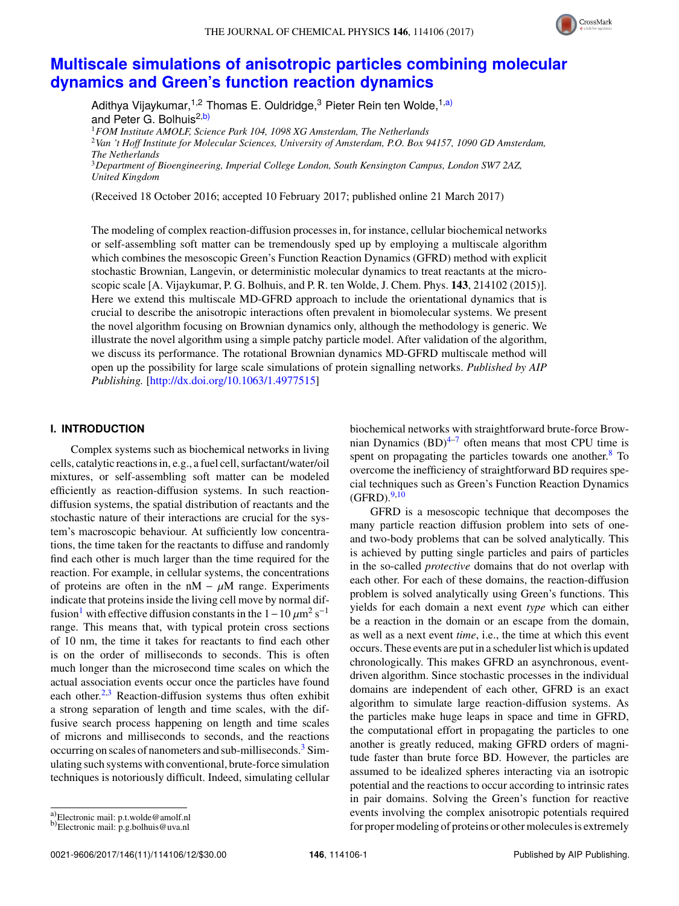

# **[Multiscale simulations of anisotropic particles combining molecular](http://dx.doi.org/10.1063/1.4977515) [dynamics and Green's function reaction dynamics](http://dx.doi.org/10.1063/1.4977515)**

Adithya Vijaykumar,<sup>1,2</sup> Thomas E. Ouldridge,<sup>3</sup> Pieter Rein ten Wolde,<sup>1[,a\)](#page-1-0)</sup> and Peter G. Bolhuis<sup>2[,b\)](#page-1-1)</sup> <sup>1</sup>*FOM Institute AMOLF, Science Park 104, 1098 XG Amsterdam, The Netherlands* <sup>2</sup>*Van 't Hoff Institute for Molecular Sciences, University of Amsterdam, P.O. Box 94157, 1090 GD Amsterdam, The Netherlands*

<sup>3</sup>*Department of Bioengineering, Imperial College London, South Kensington Campus, London SW7 2AZ, United Kingdom*

(Received 18 October 2016; accepted 10 February 2017; published online 21 March 2017)

The modeling of complex reaction-diffusion processes in, for instance, cellular biochemical networks or self-assembling soft matter can be tremendously sped up by employing a multiscale algorithm which combines the mesoscopic Green's Function Reaction Dynamics (GFRD) method with explicit stochastic Brownian, Langevin, or deterministic molecular dynamics to treat reactants at the microscopic scale [A. Vijaykumar, P. G. Bolhuis, and P. R. ten Wolde, J. Chem. Phys. **143**, 214102 (2015)]. Here we extend this multiscale MD-GFRD approach to include the orientational dynamics that is crucial to describe the anisotropic interactions often prevalent in biomolecular systems. We present the novel algorithm focusing on Brownian dynamics only, although the methodology is generic. We illustrate the novel algorithm using a simple patchy particle model. After validation of the algorithm, we discuss its performance. The rotational Brownian dynamics MD-GFRD multiscale method will open up the possibility for large scale simulations of protein signalling networks. *Published by AIP Publishing.* [\[http://dx.doi.org/10.1063/1.4977515\]](http://dx.doi.org/10.1063/1.4977515)

### **I. INTRODUCTION**

Complex systems such as biochemical networks in living cells, catalytic reactions in, e.g., a fuel cell, surfactant/water/oil mixtures, or self-assembling soft matter can be modeled efficiently as reaction-diffusion systems. In such reactiondiffusion systems, the spatial distribution of reactants and the stochastic nature of their interactions are crucial for the system's macroscopic behaviour. At sufficiently low concentrations, the time taken for the reactants to diffuse and randomly find each other is much larger than the time required for the reaction. For example, in cellular systems, the concentrations of proteins are often in the nM  $- \mu$ M range. Experiments indicate that proteins inside the living cell move by normal dif-fusion<sup>[1](#page-12-0)</sup> with effective diffusion constants in the  $1-10 \mu m^2 s^{-1}$ <br>range. This means that with typical protein cross sections range. This means that, with typical protein cross sections of 10 nm, the time it takes for reactants to find each other is on the order of milliseconds to seconds. This is often much longer than the microsecond time scales on which the actual association events occur once the particles have found each other.<sup>[2](#page-12-1)[,3](#page-12-2)</sup> Reaction-diffusion systems thus often exhibit a strong separation of length and time scales, with the diffusive search process happening on length and time scales of microns and milliseconds to seconds, and the reactions occurring on scales of nanometers and sub-milliseconds.<sup>[3](#page-12-2)</sup> Simulating such systems with conventional, brute-force simulation techniques is notoriously difficult. Indeed, simulating cellular

biochemical networks with straightforward brute-force Brownian Dynamics  $(BD)^{4-7}$  $(BD)^{4-7}$  $(BD)^{4-7}$  often means that most CPU time is spent on propagating the particles towards one another. $8$  To overcome the inefficiency of straightforward BD requires special techniques such as Green's Function Reaction Dynamics  $(GFRD).<sup>9,10</sup>$  $(GFRD).<sup>9,10</sup>$  $(GFRD).<sup>9,10</sup>$  $(GFRD).<sup>9,10</sup>$ 

GFRD is a mesoscopic technique that decomposes the many particle reaction diffusion problem into sets of oneand two-body problems that can be solved analytically. This is achieved by putting single particles and pairs of particles in the so-called *protective* domains that do not overlap with each other. For each of these domains, the reaction-diffusion problem is solved analytically using Green's functions. This yields for each domain a next event *type* which can either be a reaction in the domain or an escape from the domain, as well as a next event *time*, i.e., the time at which this event occurs. These events are put in a scheduler list which is updated chronologically. This makes GFRD an asynchronous, eventdriven algorithm. Since stochastic processes in the individual domains are independent of each other, GFRD is an exact algorithm to simulate large reaction-diffusion systems. As the particles make huge leaps in space and time in GFRD, the computational effort in propagating the particles to one another is greatly reduced, making GFRD orders of magnitude faster than brute force BD. However, the particles are assumed to be idealized spheres interacting via an isotropic potential and the reactions to occur according to intrinsic rates in pair domains. Solving the Green's function for reactive events involving the complex anisotropic potentials required for proper modeling of proteins or other molecules is extremely

<span id="page-1-0"></span>a)Electronic mail: p.t.wolde@amolf.nl

<span id="page-1-1"></span>b) Electronic mail: p.g.bolhuis@uva.nl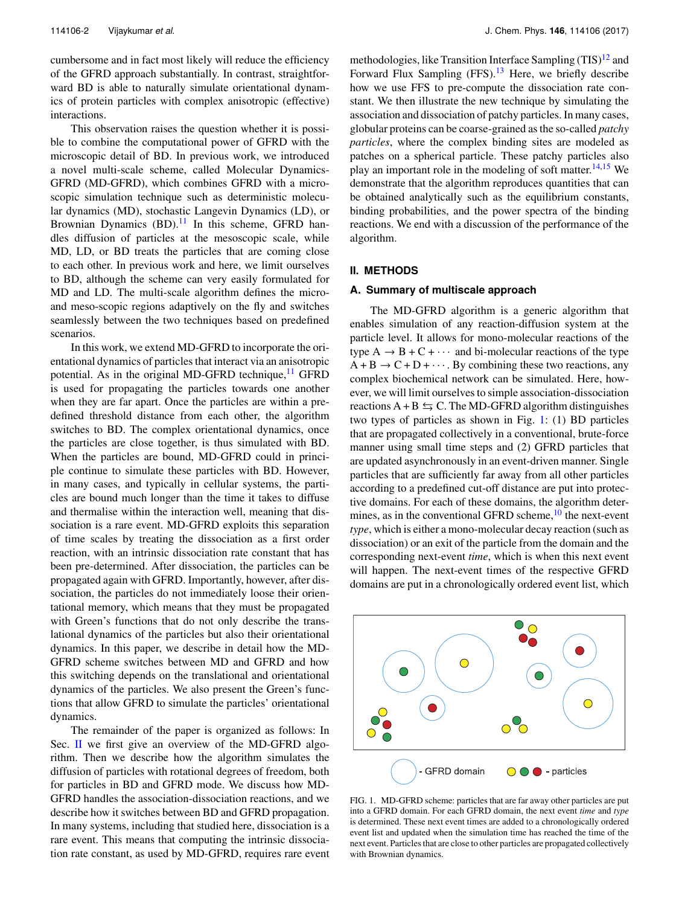cumbersome and in fact most likely will reduce the efficiency of the GFRD approach substantially. In contrast, straightforward BD is able to naturally simulate orientational dynamics of protein particles with complex anisotropic (effective) interactions.

This observation raises the question whether it is possible to combine the computational power of GFRD with the microscopic detail of BD. In previous work, we introduced a novel multi-scale scheme, called Molecular Dynamics-GFRD (MD-GFRD), which combines GFRD with a microscopic simulation technique such as deterministic molecular dynamics (MD), stochastic Langevin Dynamics (LD), or Brownian Dynamics  $(BD)$ .<sup>[11](#page-12-8)</sup> In this scheme, GFRD handles diffusion of particles at the mesoscopic scale, while MD, LD, or BD treats the particles that are coming close to each other. In previous work and here, we limit ourselves to BD, although the scheme can very easily formulated for MD and LD. The multi-scale algorithm defines the microand meso-scopic regions adaptively on the fly and switches seamlessly between the two techniques based on predefined scenarios.

In this work, we extend MD-GFRD to incorporate the orientational dynamics of particles that interact via an anisotropic potential. As in the original MD-GFRD technique, $^{11}$  $^{11}$  $^{11}$  GFRD is used for propagating the particles towards one another when they are far apart. Once the particles are within a predefined threshold distance from each other, the algorithm switches to BD. The complex orientational dynamics, once the particles are close together, is thus simulated with BD. When the particles are bound, MD-GFRD could in principle continue to simulate these particles with BD. However, in many cases, and typically in cellular systems, the particles are bound much longer than the time it takes to diffuse and thermalise within the interaction well, meaning that dissociation is a rare event. MD-GFRD exploits this separation of time scales by treating the dissociation as a first order reaction, with an intrinsic dissociation rate constant that has been pre-determined. After dissociation, the particles can be propagated again with GFRD. Importantly, however, after dissociation, the particles do not immediately loose their orientational memory, which means that they must be propagated with Green's functions that do not only describe the translational dynamics of the particles but also their orientational dynamics. In this paper, we describe in detail how the MD-GFRD scheme switches between MD and GFRD and how this switching depends on the translational and orientational dynamics of the particles. We also present the Green's functions that allow GFRD to simulate the particles' orientational dynamics.

The remainder of the paper is organized as follows: In Sec. [II](#page-6-0) we first give an overview of the MD-GFRD algorithm. Then we describe how the algorithm simulates the diffusion of particles with rotational degrees of freedom, both for particles in BD and GFRD mode. We discuss how MD-GFRD handles the association-dissociation reactions, and we describe how it switches between BD and GFRD propagation. In many systems, including that studied here, dissociation is a rare event. This means that computing the intrinsic dissociation rate constant, as used by MD-GFRD, requires rare event

methodologies, like Transition Interface Sampling  $(TIS)^{12}$  $(TIS)^{12}$  $(TIS)^{12}$  and Forward Flux Sampling  $(FFS)$ .<sup>[13](#page-12-10)</sup> Here, we briefly describe how we use FFS to pre-compute the dissociation rate constant. We then illustrate the new technique by simulating the association and dissociation of patchy particles. In many cases, globular proteins can be coarse-grained as the so-called *patchy particles*, where the complex binding sites are modeled as patches on a spherical particle. These patchy particles also play an important role in the modeling of soft matter.<sup>[14,](#page-12-11)[15](#page-12-12)</sup> We demonstrate that the algorithm reproduces quantities that can be obtained analytically such as the equilibrium constants, binding probabilities, and the power spectra of the binding reactions. We end with a discussion of the performance of the algorithm.

# **II. METHODS**

#### **A. Summary of multiscale approach**

The MD-GFRD algorithm is a generic algorithm that enables simulation of any reaction-diffusion system at the particle level. It allows for mono-molecular reactions of the type  $A \rightarrow B + C + \cdots$  and bi-molecular reactions of the type  $A + B \rightarrow C + D + \cdots$ . By combining these two reactions, any complex biochemical network can be simulated. Here, however, we will limit ourselves to simple association-dissociation reactions  $A + B \leq C$ . The MD-GFRD algorithm distinguishes two types of particles as shown in Fig. [1:](#page-2-0) (1) BD particles that are propagated collectively in a conventional, brute-force manner using small time steps and (2) GFRD particles that are updated asynchronously in an event-driven manner. Single particles that are sufficiently far away from all other particles according to a predefined cut-off distance are put into protective domains. For each of these domains, the algorithm determines, as in the conventional GFRD scheme,  $^{10}$  $^{10}$  $^{10}$  the next-event *type*, which is either a mono-molecular decay reaction (such as dissociation) or an exit of the particle from the domain and the corresponding next-event *time*, which is when this next event will happen. The next-event times of the respective GFRD domains are put in a chronologically ordered event list, which

<span id="page-2-0"></span>

FIG. 1. MD-GFRD scheme: particles that are far away other particles are put into a GFRD domain. For each GFRD domain, the next event *time* and *type* is determined. These next event times are added to a chronologically ordered event list and updated when the simulation time has reached the time of the next event. Particles that are close to other particles are propagated collectively with Brownian dynamics.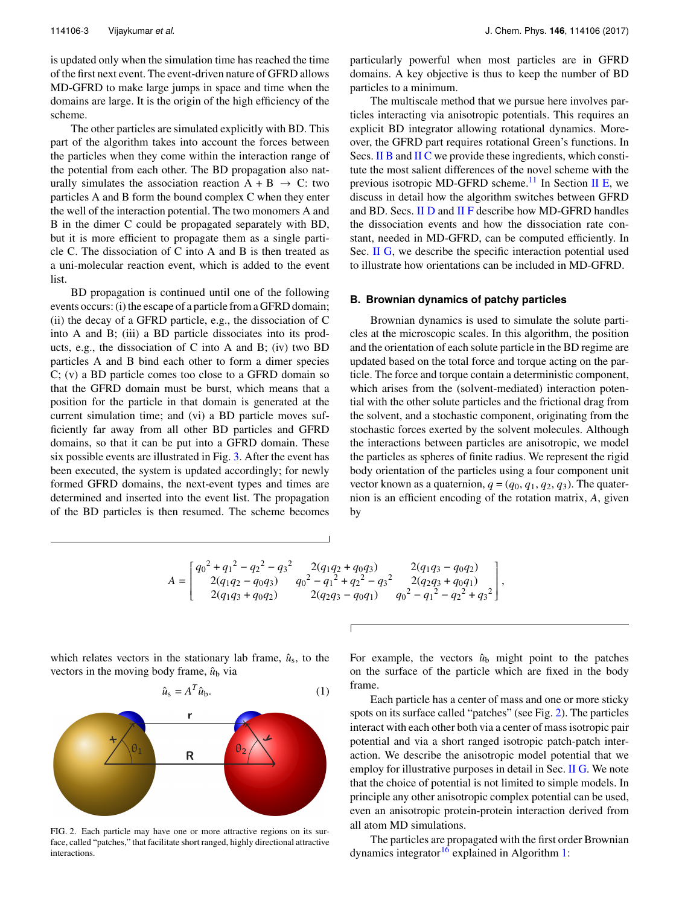is updated only when the simulation time has reached the time of the first next event. The event-driven nature of GFRD allows MD-GFRD to make large jumps in space and time when the domains are large. It is the origin of the high efficiency of the scheme.

The other particles are simulated explicitly with BD. This part of the algorithm takes into account the forces between the particles when they come within the interaction range of the potential from each other. The BD propagation also naturally simulates the association reaction  $A + B \rightarrow C$ : two particles A and B form the bound complex C when they enter the well of the interaction potential. The two monomers A and B in the dimer C could be propagated separately with BD, but it is more efficient to propagate them as a single particle C. The dissociation of C into A and B is then treated as a uni-molecular reaction event, which is added to the event list.

BD propagation is continued until one of the following events occurs: (i) the escape of a particle from a GFRD domain; (ii) the decay of a GFRD particle, e.g., the dissociation of C into A and B; (iii) a BD particle dissociates into its products, e.g., the dissociation of C into A and B; (iv) two BD particles A and B bind each other to form a dimer species C; (v) a BD particle comes too close to a GFRD domain so that the GFRD domain must be burst, which means that a position for the particle in that domain is generated at the current simulation time; and (vi) a BD particle moves sufficiently far away from all other BD particles and GFRD domains, so that it can be put into a GFRD domain. These six possible events are illustrated in Fig. [3.](#page-6-1) After the event has been executed, the system is updated accordingly; for newly formed GFRD domains, the next-event types and times are determined and inserted into the event list. The propagation of the BD particles is then resumed. The scheme becomes particularly powerful when most particles are in GFRD domains. A key objective is thus to keep the number of BD particles to a minimum.

The multiscale method that we pursue here involves particles interacting via anisotropic potentials. This requires an explicit BD integrator allowing rotational dynamics. Moreover, the GFRD part requires rotational Green's functions. In Secs. [II B](#page-3-0) and [II C](#page-4-0) we provide these ingredients, which constitute the most salient differences of the novel scheme with the previous isotropic MD-GFRD scheme.<sup>[11](#page-12-8)</sup> In Section [II E,](#page-5-0) we discuss in detail how the algorithm switches between GFRD and BD. Secs. [II D](#page-5-1) and [II F](#page-7-0) describe how MD-GFRD handles the dissociation events and how the dissociation rate constant, needed in MD-GFRD, can be computed efficiently. In Sec. [II G,](#page-7-1) we describe the specific interaction potential used to illustrate how orientations can be included in MD-GFRD.

#### <span id="page-3-0"></span>**B. Brownian dynamics of patchy particles**

Brownian dynamics is used to simulate the solute particles at the microscopic scales. In this algorithm, the position and the orientation of each solute particle in the BD regime are updated based on the total force and torque acting on the particle. The force and torque contain a deterministic component, which arises from the (solvent-mediated) interaction potential with the other solute particles and the frictional drag from the solvent, and a stochastic component, originating from the stochastic forces exerted by the solvent molecules. Although the interactions between particles are anisotropic, we model the particles as spheres of finite radius. We represent the rigid body orientation of the particles using a four component unit vector known as a quaternion,  $q = (q_0, q_1, q_2, q_3)$ . The quaternion is an efficient encoding of the rotation matrix, *A*, given by

$$
A = \begin{bmatrix} q_0^2 + {q_1}^2 - {q_2}^2 - {q_3}^2 & 2(q_1q_2 + q_0q_3) & 2(q_1q_3 - q_0q_2) \\ 2(q_1q_2 - q_0q_3) & q_0^2 - {q_1}^2 + {q_2}^2 - {q_3}^2 & 2(q_2q_3 + q_0q_1) \\ 2(q_1q_3 + q_0q_2) & 2(q_2q_3 - q_0q_1) & q_0^2 - {q_1}^2 - {q_2}^2 + {q_3}^2 \end{bmatrix},
$$

which relates vectors in the stationary lab frame,  $\hat{u}_s$ , to the vectors in the moving body frame,  $\hat{u}_b$  via

$$
\hat{u}_{\rm s} = A^T \hat{u}_{\rm b}.\tag{1}
$$

<span id="page-3-1"></span>

FIG. 2. Each particle may have one or more attractive regions on its surface, called "patches," that facilitate short ranged, highly directional attractive interactions.

For example, the vectors  $\hat{u}_b$  might point to the patches on the surface of the particle which are fixed in the body frame.

<span id="page-3-2"></span>Each particle has a center of mass and one or more sticky spots on its surface called "patches" (see Fig. [2\)](#page-3-1). The particles interact with each other both via a center of mass isotropic pair potential and via a short ranged isotropic patch-patch interaction. We describe the anisotropic model potential that we employ for illustrative purposes in detail in Sec. [II G.](#page-7-1) We note that the choice of potential is not limited to simple models. In principle any other anisotropic complex potential can be used, even an anisotropic protein-protein interaction derived from all atom MD simulations.

The particles are propagated with the first order Brownian dynamics integrator<sup>[16](#page-12-13)</sup> explained in Algorithm [1:](#page-4-1)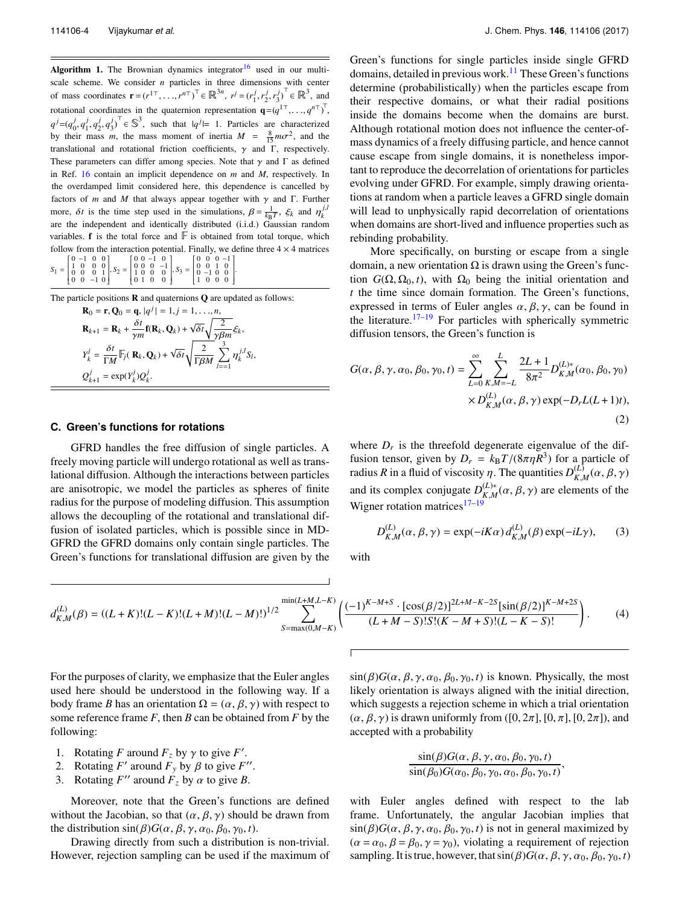<span id="page-4-1"></span>**Algorithm 1.** The Brownian dynamics integrator<sup>[16](#page-12-13)</sup> used in our multiscale scheme. We consider  $n$  particles in three dimensions with center of mass coordinates  $\mathbf{r} = (r^{1\top}, \dots, r^{n\top})^{\top} \in \mathbb{R}^{3n}$ ,  $r^{j} = (r_1^{j}, r_2^{j}, r_3^{j})^{\top} \in \mathbb{R}^{3}$ , and rotational coordinates in the quaternion representation  $\mathbf{q} = (q^{1\top}, \ldots, q^{n\top})^{\top}$ ,  $q^j = (q_0^j, q_1^j, q_2^j, q_3^j)^\top \in \mathbb{S}^3$ , such that  $|q^j| = 1$ . Particles are characterized by their mass *m*, the mass moment of inertia  $M = \frac{8}{15} m \sigma^2$ , and the translational end retational friction asset in the Lagrantical value translational and rotational friction coefficients,  $\gamma$  and  $\Gamma$ , respectively. These parameters can differ among species. Note that  $\gamma$  and  $\Gamma$  as defined in Ref. [16](#page-12-13) contain an implicit dependence on *m* and *M*, respectively. In the overdamped limit considered here, this dependence is cancelled by factors of *m* and *M* that always appear together with  $\gamma$  and  $\Gamma$ . Further more, *δt* is the time step used in the simulations,  $\beta = \frac{1}{k_BT}$ ,  $\xi_k$  and  $\eta_k^{j,l}$ are the independent and identically distributed (i.i.d.) Gaussian random variables.  $f$  is the total force and  $F$  is obtained from total torque, which follow from the interaction potential. Finally, we define three  $4 \times 4$  matrices 1

 $S_1$  =  $\overline{\phantom{a}}$  $\begin{array}{cccc} 0 & -1 & 0 & 0 \\ 1 & 0 & 0 & 0 \\ 0 & 0 & 0 & 1 \\ 0 & 0 & -1 & 0 \end{array}$   $, S_2 =$  $\overline{\phantom{0}}$ 0 0 −1 0<br>0 0 0 −1<br>1 0 0 0<br>0 1 0 0  $\frac{1}{\sqrt{2}}$  $, S_3 =$  $\overline{\phantom{0}}$ 0 0 0 −1<br>0 0 1 0<br>0 −1 0 0<br>1 0 0 0 ł I I .

The particle positions **R** and quaternions **Q** are updated as follows:

| $\mathbf{R}_0 = \mathbf{r}, \mathbf{Q}_0 = \mathbf{q},  q^j  = 1, j = 1, \dots, n,$                                                                            |
|----------------------------------------------------------------------------------------------------------------------------------------------------------------|
| $\mathbf{R}_{k+1} = \mathbf{R}_k + \frac{\delta t}{\gamma m} \mathbf{f}(\mathbf{R}_k, \mathbf{Q}_k) + \sqrt{\delta t} \sqrt{\frac{2}{\gamma \beta m}} \xi_k,$  |
| $Y_k^j = \frac{\delta t}{\Gamma M} \mathbb{F}_j(\mathbf{R}_k, \mathbf{Q}_k) + \sqrt{\delta t} \sqrt{\frac{2}{\Gamma \beta M}} \sum_{l=-1}^3 \eta_k^{j,l} S_l,$ |
| $Q_{k+1}^j = \exp(Y_k^j) Q_k^j$ .                                                                                                                              |

#### <span id="page-4-0"></span>**C. Green's functions for rotations**

GFRD handles the free diffusion of single particles. A freely moving particle will undergo rotational as well as translational diffusion. Although the interactions between particles are anisotropic, we model the particles as spheres of finite radius for the purpose of modeling diffusion. This assumption allows the decoupling of the rotational and translational diffusion of isolated particles, which is possible since in MD-GFRD the GFRD domains only contain single particles. The Green's functions for translational diffusion are given by the Green's functions for single particles inside single GFRD domains, detailed in previous work.<sup>[11](#page-12-8)</sup> These Green's functions determine (probabilistically) when the particles escape from their respective domains, or what their radial positions inside the domains become when the domains are burst. Although rotational motion does not influence the center-ofmass dynamics of a freely diffusing particle, and hence cannot cause escape from single domains, it is nonetheless important to reproduce the decorrelation of orientations for particles evolving under GFRD. For example, simply drawing orientations at random when a particle leaves a GFRD single domain will lead to unphysically rapid decorrelation of orientations when domains are short-lived and influence properties such as rebinding probability.

More specifically, on bursting or escape from a single domain, a new orientation  $\Omega$  is drawn using the Green's function  $G(\Omega, \Omega_0, t)$ , with  $\Omega_0$  being the initial orientation and *t* the time since domain formation. The Green's functions, expressed in terms of Euler angles  $\alpha$ ,  $\beta$ ,  $\gamma$ , can be found in the literature.<sup>[17–](#page-12-14)[19](#page-12-15)</sup> For particles with spherically symmetric diffusion tensors, the Green's function is

$$
G(\alpha, \beta, \gamma, \alpha_0, \beta_0, \gamma_0, t) = \sum_{L=0}^{\infty} \sum_{K,M=-L}^{L} \frac{2L+1}{8\pi^2} D_{K,M}^{(L)*}(\alpha_0, \beta_0, \gamma_0)
$$

$$
\times D_{K,M}^{(L)}(\alpha, \beta, \gamma) \exp(-D_r L(L+1)t),
$$
\n(2)

where  $D_r$  is the threefold degenerate eigenvalue of the diffusion tensor, given by  $D_r = k_B T/(8\pi \eta R^3)$  for a particle of radius  $R$  in a fluid of viscosity *n*. The quantities  $D^{(L)}(q, R, \chi)$ radius *R* in a fluid of viscosity *η*. The quantities  $D_{K,l}^{(L)}$  $\chi_{K,M}^{(L)}(\alpha,\beta,\gamma)$ and its complex conjugate  $D_{K\ M}^{(L)*}$ and its complex conjugate  $D_{K,M}^{(L)*}(\alpha, \beta, \gamma)$  are elements of the Wigner rotation matrices<sup>[17–](#page-12-14)[19](#page-12-15)</sup>

<span id="page-4-2"></span>
$$
D_{K,M}^{(L)}(\alpha,\beta,\gamma) = \exp(-iK\alpha) d_{K,M}^{(L)}(\beta) \exp(-iL\gamma), \qquad (3)
$$

with

$$
d_{K,M}^{(L)}(\beta) = ((L+K)!(L-K)!(L+M)!(L-M)!)^{1/2} \sum_{S=\max(0,M-K)}^{\min(L+M,L-K)} \left(\frac{(-1)^{K-M+S} \cdot [\cos(\beta/2)]^{2L+M-K-2S}[\sin(\beta/2)]^{K-M+2S}}{(L+M-S)!\Sigma(K-M+S)!(L-K-S)!}\right). \tag{4}
$$

For the purposes of clarity, we emphasize that the Euler angles used here should be understood in the following way. If a body frame *B* has an orientation  $\Omega = (\alpha, \beta, \gamma)$  with respect to some reference frame *F*, then *B* can be obtained from *F* by the following:

- 1. Rotating *F* around  $F_z$  by  $\gamma$  to give *F'*.<br>2. Rotating *F'* around *F* by *B* to give *F'*.
- 2. Rotating *F'* around  $F_y$  by  $\beta$  to give *F''*.
- 3. Rotating  $F''$  around  $\hat{F}_z$  by  $\alpha$  to give *B*.

Moreover, note that the Green's functions are defined without the Jacobian, so that  $(\alpha, \beta, \gamma)$  should be drawn from the distribution  $\sin(\beta)G(\alpha, \beta, \gamma, \alpha_0, \beta_0, \gamma_0, t)$ .

Drawing directly from such a distribution is non-trivial. However, rejection sampling can be used if the maximum of  $\sin(\beta)G(\alpha, \beta, \gamma, \alpha_0, \beta_0, \gamma_0, t)$  is known. Physically, the most likely orientation is always aligned with the initial direction, which suggests a rejection scheme in which a trial orientation  $(\alpha, \beta, \gamma)$  is drawn uniformly from  $([0, 2\pi], [0, \pi], [0, 2\pi])$ , and accepted with a probability

$$
\frac{\sin(\beta)G(\alpha,\beta,\gamma,\alpha_0,\beta_0,\gamma_0,t)}{\sin(\beta_0)G(\alpha_0,\beta_0,\gamma_0,\alpha_0,\beta_0,\gamma_0,t)},
$$

with Euler angles defined with respect to the lab frame. Unfortunately, the angular Jacobian implies that  $\sin(\beta)G(\alpha, \beta, \gamma, \alpha_0, \beta_0, \gamma_0, t)$  is not in general maximized by  $(\alpha = \alpha_0, \beta = \beta_0, \gamma = \gamma_0)$ , violating a requirement of rejection sampling. It is true, however, that  $\sin(\beta)G(\alpha, \beta, \gamma, \alpha_0, \beta_0, \gamma_0, t)$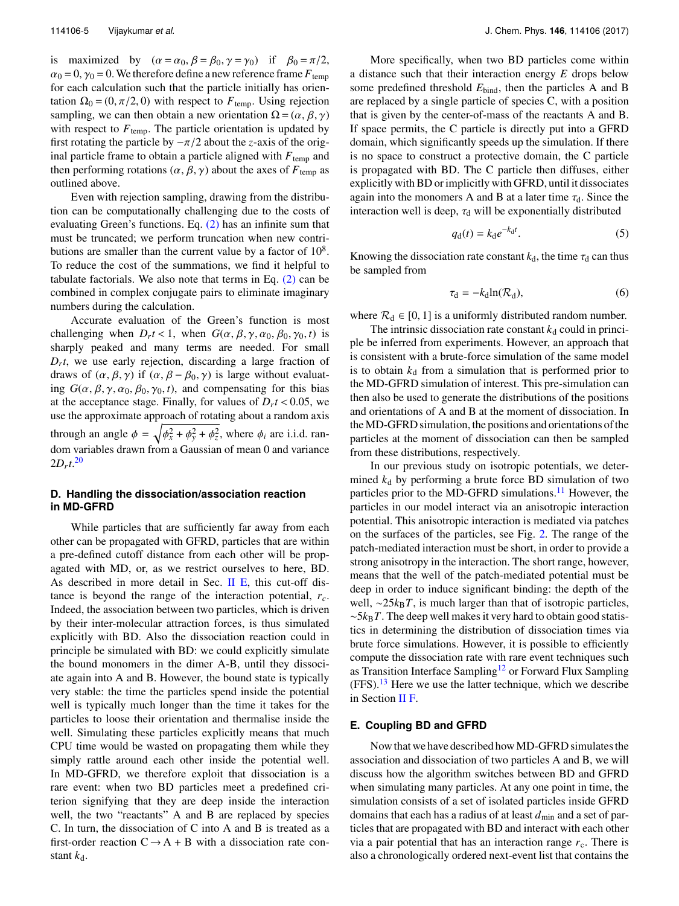is maximized by  $(\alpha = \alpha_0, \beta = \beta_0, \gamma = \gamma_0)$  if  $\beta_0 = \pi/2$ ,  $\alpha_0 = 0$ ,  $\gamma_0 = 0$ . We therefore define a new reference frame  $F_{temp}$ for each calculation such that the particle initially has orientation  $\Omega_0 = (0, \pi/2, 0)$  with respect to  $F_{temp}$ . Using rejection sampling, we can then obtain a new orientation  $\Omega = (\alpha, \beta, \gamma)$ with respect to  $F_{temp}$ . The particle orientation is updated by first rotating the particle by  $-\pi/2$  about the *z*-axis of the original particle frame to obtain a particle aligned with  $F_{temp}$  and then performing rotations ( $\alpha$ ,  $\beta$ ,  $\gamma$ ) about the axes of  $F_{temp}$  as outlined above.

Even with rejection sampling, drawing from the distribution can be computationally challenging due to the costs of evaluating Green's functions. Eq. [\(2\)](#page-4-2) has an infinite sum that must be truncated; we perform truncation when new contributions are smaller than the current value by a factor of  $10^8$ . To reduce the cost of the summations, we find it helpful to tabulate factorials. We also note that terms in Eq.  $(2)$  can be combined in complex conjugate pairs to eliminate imaginary numbers during the calculation.

Accurate evaluation of the Green's function is most challenging when  $D_r t < 1$ , when  $G(\alpha, \beta, \gamma, \alpha_0, \beta_0, \gamma_0, t)$  is<br>sharply peaked and many terms are peeded. For small sharply peaked and many terms are needed. For small  $D<sub>r</sub> t$ , we use early rejection, discarding a large fraction of draws of  $(\alpha, \beta, \gamma)$  if  $(\alpha, \beta - \beta_0, \gamma)$  is large without evaluating  $G(\alpha, \beta, \gamma, \alpha_0, \beta_0, \gamma_0, t)$ , and compensating for this bias at the acceptance stage. Finally, for values of  $D_r t < 0.05$ , we use the approximate approach of rotating about a random axis use the approximate approach of rotating about a random axis through an angle  $\phi = \sqrt{\phi_x^2 + \phi_y^2 + \phi_z^2}$ , where  $\phi_i$  are i.i.d. ran-<br>dom variables drawn from a Coussian of mean 0 and variance dom variables drawn from a Gaussian of mean 0 and variance  $2D_{r}t^{20}$  $2D_{r}t^{20}$  $2D_{r}t^{20}$ 

#### <span id="page-5-1"></span>**D. Handling the dissociation/association reaction in MD-GFRD**

While particles that are sufficiently far away from each other can be propagated with GFRD, particles that are within a pre-defined cutoff distance from each other will be propagated with MD, or, as we restrict ourselves to here, BD. As described in more detail in Sec. [II E,](#page-5-0) this cut-off distance is beyond the range of the interaction potential, *rc*. Indeed, the association between two particles, which is driven by their inter-molecular attraction forces, is thus simulated explicitly with BD. Also the dissociation reaction could in principle be simulated with BD: we could explicitly simulate the bound monomers in the dimer A-B, until they dissociate again into A and B. However, the bound state is typically very stable: the time the particles spend inside the potential well is typically much longer than the time it takes for the particles to loose their orientation and thermalise inside the well. Simulating these particles explicitly means that much CPU time would be wasted on propagating them while they simply rattle around each other inside the potential well. In MD-GFRD, we therefore exploit that dissociation is a rare event: when two BD particles meet a predefined criterion signifying that they are deep inside the interaction well, the two "reactants" A and B are replaced by species C. In turn, the dissociation of C into A and B is treated as a first-order reaction  $C \rightarrow A + B$  with a dissociation rate constant  $k_d$ .

More specifically, when two BD particles come within a distance such that their interaction energy *E* drops below some predefined threshold *E*bind, then the particles A and B are replaced by a single particle of species C, with a position that is given by the center-of-mass of the reactants A and B. If space permits, the C particle is directly put into a GFRD domain, which significantly speeds up the simulation. If there is no space to construct a protective domain, the C particle is propagated with BD. The C particle then diffuses, either explicitly with BD or implicitly with GFRD, until it dissociates again into the monomers A and B at a later time  $\tau_d$ . Since the interaction well is deep,  $\tau_d$  will be exponentially distributed

$$
q_{\rm d}(t) = k_{\rm d}e^{-k_{\rm d}t}.\tag{5}
$$

Knowing the dissociation rate constant  $k_d$ , the time  $\tau_d$  can thus be sampled from

$$
\tau_{\rm d} = -k_{\rm d} \ln(\mathcal{R}_{\rm d}),\tag{6}
$$

where  $\mathcal{R}_d \in [0, 1]$  is a uniformly distributed random number.

The intrinsic dissociation rate constant  $k_d$  could in principle be inferred from experiments. However, an approach that is consistent with a brute-force simulation of the same model is to obtain  $k_d$  from a simulation that is performed prior to the MD-GFRD simulation of interest. This pre-simulation can then also be used to generate the distributions of the positions and orientations of A and B at the moment of dissociation. In theMD-GFRD simulation, the positions and orientations of the particles at the moment of dissociation can then be sampled from these distributions, respectively.

In our previous study on isotropic potentials, we determined  $k_d$  by performing a brute force BD simulation of two particles prior to the MD-GFRD simulations.<sup>[11](#page-12-8)</sup> However, the particles in our model interact via an anisotropic interaction potential. This anisotropic interaction is mediated via patches on the surfaces of the particles, see Fig. [2.](#page-3-1) The range of the patch-mediated interaction must be short, in order to provide a strong anisotropy in the interaction. The short range, however, means that the well of the patch-mediated potential must be deep in order to induce significant binding: the depth of the well, ∼25*k*<sub>B</sub>*T*, is much larger than that of isotropic particles, ∼5*k*B*T*. The deep well makes it very hard to obtain good statistics in determining the distribution of dissociation times via brute force simulations. However, it is possible to efficiently compute the dissociation rate with rare event techniques such as Transition Interface Sampling<sup>[12](#page-12-9)</sup> or Forward Flux Sampling  $(FFS).<sup>13</sup>$  $(FFS).<sup>13</sup>$  $(FFS).<sup>13</sup>$  Here we use the latter technique, which we describe in Section [II F.](#page-7-0)

# <span id="page-5-0"></span>**E. Coupling BD and GFRD**

Now that we have described howMD-GFRD simulates the association and dissociation of two particles A and B, we will discuss how the algorithm switches between BD and GFRD when simulating many particles. At any one point in time, the simulation consists of a set of isolated particles inside GFRD domains that each has a radius of at least  $d_{\text{min}}$  and a set of particles that are propagated with BD and interact with each other via a pair potential that has an interaction range  $r_c$ . There is also a chronologically ordered next-event list that contains the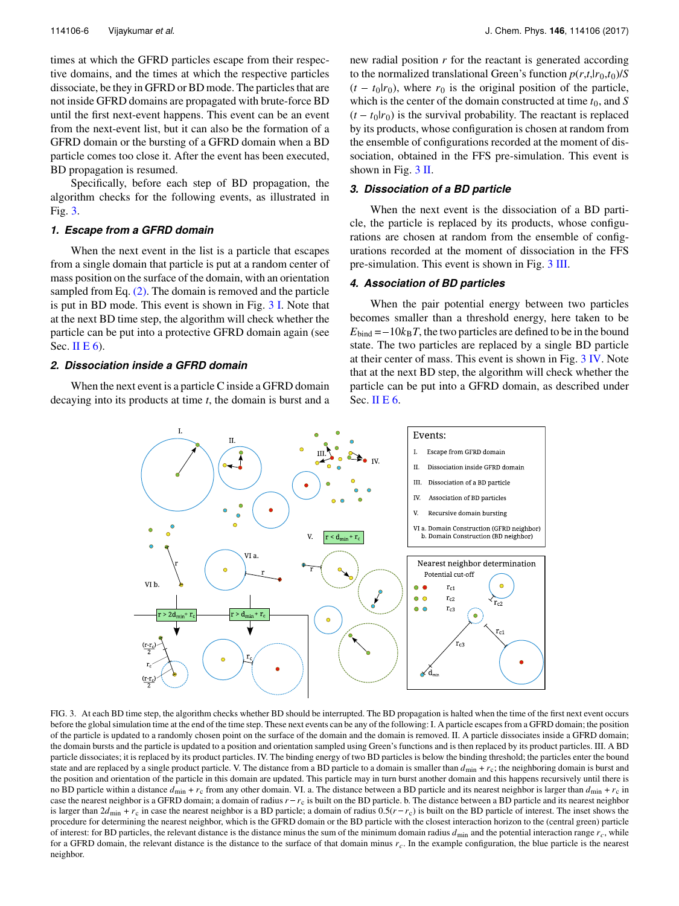times at which the GFRD particles escape from their respective domains, and the times at which the respective particles dissociate, be they in GFRD or BD mode. The particles that are not inside GFRD domains are propagated with brute-force BD until the first next-event happens. This event can be an event from the next-event list, but it can also be the formation of a GFRD domain or the bursting of a GFRD domain when a BD particle comes too close it. After the event has been executed, BD propagation is resumed.

Specifically, before each step of BD propagation, the algorithm checks for the following events, as illustrated in Fig. [3.](#page-6-1)

#### *1. Escape from a GFRD domain*

When the next event in the list is a particle that escapes from a single domain that particle is put at a random center of mass position on the surface of the domain, with an orientation sampled from Eq. [\(2\).](#page-4-2) The domain is removed and the particle is put in BD mode. This event is shown in Fig. [3 I.](#page-6-1) Note that at the next BD time step, the algorithm will check whether the particle can be put into a protective GFRD domain again (see Sec. II E  $6$ ).

#### <span id="page-6-0"></span>*2. Dissociation inside a GFRD domain*

<span id="page-6-1"></span>When the next event is a particle C inside a GFRD domain decaying into its products at time *t*, the domain is burst and a

new radial position *r* for the reactant is generated according to the normalized translational Green's function  $p(r,t,1r_0,t_0)/S$ new radial position *r* for the reactant is generated according<br>to the normalized translational Green's function  $p(r,t,lr_0,t_0)/S$ <br> $(t - t_0|r_0)$ , where  $r_0$  is the original position of the particle, which is the center of the domain constructed at time  $t_0$ , and  $S$ to the normalized translational Green's function  $p(r,t,lr_0,t_0)/S$ <br>( $t - t_0|r_0$ ), where  $r_0$  is the original position of the particle,<br>which is the center of the domain constructed at time  $t_0$ , and S<br>( $t - t_0|r_0$ ) is the by its products, whose configuration is chosen at random from the ensemble of configurations recorded at the moment of dissociation, obtained in the FFS pre-simulation. This event is shown in Fig. [3 II.](#page-6-1)

### *3. Dissociation of a BD particle*

When the next event is the dissociation of a BD particle, the particle is replaced by its products, whose configurations are chosen at random from the ensemble of configurations recorded at the moment of dissociation in the FFS pre-simulation. This event is shown in Fig. [3 III.](#page-6-1)

# *4. Association of BD particles*

When the pair potential energy between two particles becomes smaller than a threshold energy, here taken to be  $E_{bind} = -10k_B T$ , the two particles are defined to be in the bound state. The two particles are replaced by a single BD particle at their center of mass. This event is shown in Fig. [3 IV.](#page-6-1) Note that at the next BD step, the algorithm will check whether the particle can be put into a GFRD domain, as described under Sec. [II E 6.](#page-7-2)



FIG. 3. At each BD time step, the algorithm checks whether BD should be interrupted. The BD propagation is halted when the time of the first next event occurs before the global simulation time at the end of the time step. These next events can be any of the following: I. A particle escapes from a GFRD domain; the position of the particle is updated to a randomly chosen point on the surface of the domain and the domain is removed. II. A particle dissociates inside a GFRD domain; the domain bursts and the particle is updated to a position and orientation sampled using Green's functions and is then replaced by its product particles. III. A BD particle dissociates; it is replaced by its product particles. IV. The binding energy of two BD particles is below the binding threshold; the particles enter the bound particle and are replaced by a single product particle. V. The distance from a BD particle to a domain is smaller than  $d_{min} + r_c$ ; the neighboring domain is burst and the position and orientation of the particle in this do the position and orientation of the particle in this domain are updated. This particle may in turn burst another domain and this happens recursively until there is no BD particle within a distance  $d_{\text{min}} + r_c$  from any other domain. VI. a. The distance between a BD particle and its nearest neighbor is larger than  $d_{\text{min}} + r_c$  in case the nearest neighbor is a GFRD domain; a domain o is larger than  $2d_{\text{min}} + r_c$  in case the nearest neighbor is a BD particle; a domain of radius  $0.5(r - r_c)$  is built on the BD particle of interest. The inset shows the procedure for determining the nearest neighbor, which is the GFRD domain or the BD particle with the closest interaction horizon to the (central green) particle of interest: for BD particles, the relevant distance is the distance minus the sum of the minimum domain radius  $d_{\text{min}}$  and the potential interaction range  $r_c$ , while for a GFRD domain, the relevant distance is the distance to the surface of that domain minus  $r_c$ . In the example configuration, the blue particle is the nearest neighbor.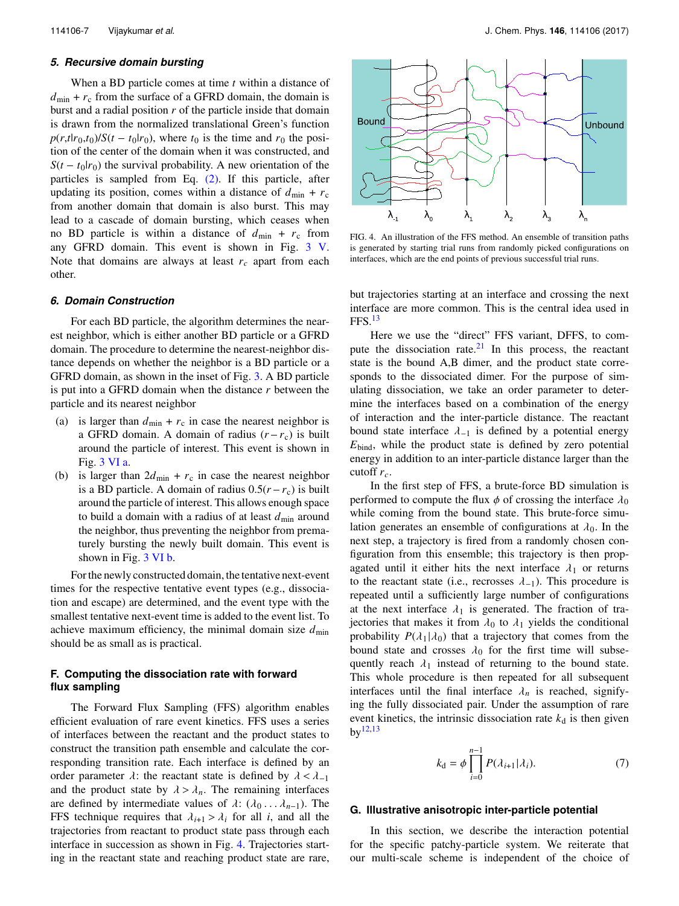### *5. Recursive domain bursting*

When a BD particle comes at time *t* within a distance of  $d_{\text{min}} + r_c$  from the surface of a GFRD domain, the domain is burst and a radial position *r* of the particle inside that domain is drawn from the normalized translational Green's function  $p(r,t|r_0,t_0)/S(t-t_0|r_0)$ , where  $t_$ burst and a radial position *r* of the particle inside that domain is drawn from the normalized translational Green's function  $p(r, t|r_0, t_0)/S(t - t_0|r_0)$ , where  $t_0$  is the time and  $r_0$  the position of the center of the domain when it was constructed, and  $S(t - t_0|r_0)$  the survival proba tion of the center of the domain when it was constructed, and particles is sampled from Eq. [\(2\).](#page-4-2) If this particle, after updating its position, comes within a distance of  $d_{\text{min}} + r_c$ from another domain that domain is also burst. This may lead to a cascade of domain bursting, which ceases when no BD particle is within a distance of  $d_{\text{min}} + r_c$  from any GFRD domain. This event is shown in Fig. [3 V.](#page-6-1) Note that domains are always at least  $r_c$  apart from each other.

#### <span id="page-7-2"></span>*6. Domain Construction*

For each BD particle, the algorithm determines the nearest neighbor, which is either another BD particle or a GFRD domain. The procedure to determine the nearest-neighbor distance depends on whether the neighbor is a BD particle or a GFRD domain, as shown in the inset of Fig. [3.](#page-6-1) A BD particle is put into a GFRD domain when the distance *r* between the particle and its nearest neighbor<br>
(a) is larger than  $d_{\text{min}} + r_c$  in case the nearest neighbor is<br>
a GFRD domain. A domain of radius  $(r - r_c)$  is built particle and its nearest neighbor

- (a) is larger than  $d_{\text{min}} + r_c$  in case the nearest neighbor is around the particle of interest. This event is shown in Fig. 3 VI a.<br>is larger than  $2d_{\text{min}} + r_c$  in case the nearest neighbor<br>is a BD particle. A domain of radius  $0.5(r - r_c)$  is built Fig. [3 VI a.](#page-6-1)
- (b) is larger than  $2d_{\text{min}} + r_c$  in case the nearest neighbor around the particle of interest. This allows enough space to build a domain with a radius of at least  $d_{\min}$  around the neighbor, thus preventing the neighbor from prematurely bursting the newly built domain. This event is shown in Fig. [3 VI b.](#page-6-1)

For the newly constructed domain, the tentative next-event times for the respective tentative event types (e.g., dissociation and escape) are determined, and the event type with the smallest tentative next-event time is added to the event list. To achieve maximum efficiency, the minimal domain size  $d_{\min}$ should be as small as is practical.

# <span id="page-7-0"></span>**F. Computing the dissociation rate with forward flux sampling**

The Forward Flux Sampling (FFS) algorithm enables efficient evaluation of rare event kinetics. FFS uses a series of interfaces between the reactant and the product states to construct the transition path ensemble and calculate the corresponding transition rate. Each interface is defined by an order parameter  $\lambda$ : the reactant state is defined by  $\lambda < \lambda_{-1}$ and the product state by  $\lambda > \lambda_n$ . The remaining interfaces are defined by intermediate values of  $\lambda$ : ( $\lambda_0$ ..., $\lambda_{n-1}$ ). The FFS technique requires that  $\lambda_{i+1} > \lambda_i$  for all *i*, and all the trajectories from reactant to product state pass through each interface in succession as shown in Fig. [4.](#page-7-3) Trajectories starting in the reactant state and reaching product state are rare,

<span id="page-7-3"></span>

FIG. 4. An illustration of the FFS method. An ensemble of transition paths is generated by starting trial runs from randomly picked configurations on interfaces, which are the end points of previous successful trial runs.

but trajectories starting at an interface and crossing the next interface are more common. This is the central idea used in  $FFS.<sup>13</sup>$  $FFS.<sup>13</sup>$  $FFS.<sup>13</sup>$ 

Here we use the "direct" FFS variant, DFFS, to compute the dissociation rate. $2<sup>1</sup>$  In this process, the reactant state is the bound A,B dimer, and the product state corresponds to the dissociated dimer. For the purpose of simulating dissociation, we take an order parameter to determine the interfaces based on a combination of the energy of interaction and the inter-particle distance. The reactant bound state interface  $\lambda_{-1}$  is defined by a potential energy *E*bind, while the product state is defined by zero potential energy in addition to an inter-particle distance larger than the cutoff *rc*.

In the first step of FFS, a brute-force BD simulation is performed to compute the flux  $\phi$  of crossing the interface  $\lambda_0$ while coming from the bound state. This brute-force simulation generates an ensemble of configurations at  $\lambda_0$ . In the next step, a trajectory is fired from a randomly chosen configuration from this ensemble; this trajectory is then propagated until it either hits the next interface  $\lambda_1$  or returns to the reactant state (i.e., recrosses  $\lambda_{-1}$ ). This procedure is repeated until a sufficiently large number of configurations at the next interface  $\lambda_1$  is generated. The fraction of trajectories that makes it from  $\lambda_0$  to  $\lambda_1$  yields the conditional probability  $P(\lambda_1|\lambda_0)$  that a trajectory that comes from the bound state and crosses  $\lambda_0$  for the first time will subsequently reach  $\lambda_1$  instead of returning to the bound state. This whole procedure is then repeated for all subsequent interfaces until the final interface  $\lambda_n$  is reached, signifying the fully dissociated pair. Under the assumption of rare event kinetics, the intrinsic dissociation rate  $k_d$  is then given  $bv^{12,13}$  $bv^{12,13}$  $bv^{12,13}$  $bv^{12,13}$ 

<span id="page-7-4"></span>
$$
k_{\mathbf{d}} = \phi \prod_{i=0}^{n-1} P(\lambda_{i+1} | \lambda_i).
$$
 (7)

### <span id="page-7-1"></span>**G. Illustrative anisotropic inter-particle potential**

In this section, we describe the interaction potential for the specific patchy-particle system. We reiterate that our multi-scale scheme is independent of the choice of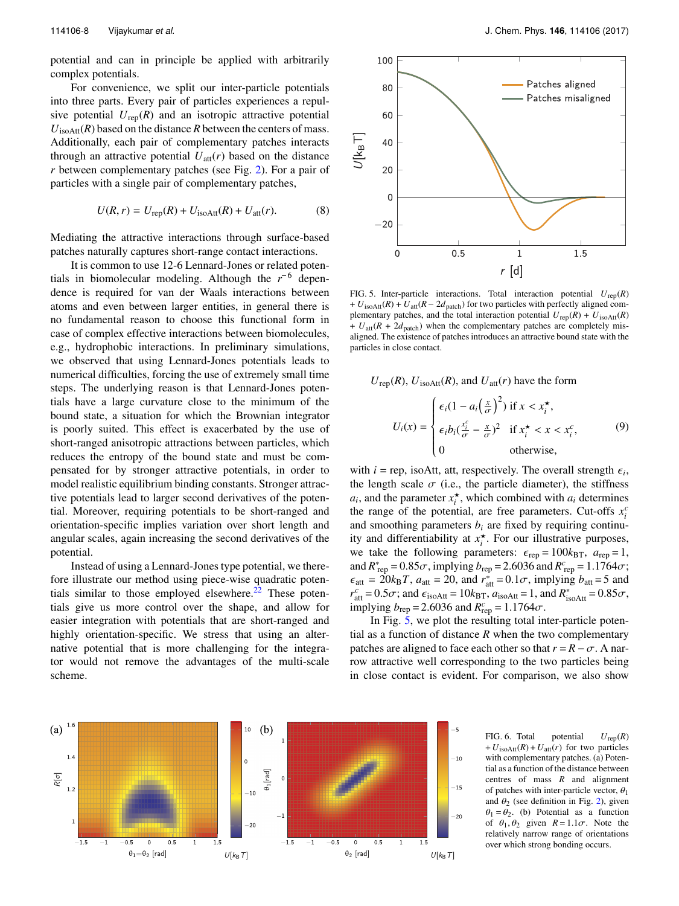potential and can in principle be applied with arbitrarily complex potentials.

For convenience, we split our inter-particle potentials into three parts. Every pair of particles experiences a repulsive potential  $U_{\text{rep}}(R)$  and an isotropic attractive potential  $U_{\text{isoAtt}}(R)$  based on the distance *R* between the centers of mass. Additionally, each pair of complementary patches interacts through an attractive potential  $U_{\text{att}}(r)$  based on the distance *r* between complementary patches (see Fig. [2\)](#page-3-1). For a pair of particles with a single pair of complementary patches,

$$
U(R,r) = U_{\text{rep}}(R) + U_{\text{isoAtt}}(R) + U_{\text{att}}(r). \tag{8}
$$

Mediating the attractive interactions through surface-based patches naturally captures short-range contact interactions. 

It is common to use 12-6 Lennard-Jones or related potentials in biomolecular modeling. Although the  $r^{-6}$  dependence is required for van der Waals interactions between atoms and even between larger entities, in general there is no fundamental reason to choose this functional form in case of complex effective interactions between biomolecules, e.g., hydrophobic interactions. In preliminary simulations, we observed that using Lennard-Jones potentials leads to numerical difficulties, forcing the use of extremely small time steps. The underlying reason is that Lennard-Jones potentials have a large curvature close to the minimum of the bound state, a situation for which the Brownian integrator is poorly suited. This effect is exacerbated by the use of short-ranged anisotropic attractions between particles, which reduces the entropy of the bound state and must be compensated for by stronger attractive potentials, in order to model realistic equilibrium binding constants. Stronger attractive potentials lead to larger second derivatives of the potential. Moreover, requiring potentials to be short-ranged and orientation-specific implies variation over short length and angular scales, again increasing the second derivatives of the potential.

Instead of using a Lennard-Jones type potential, we therefore illustrate our method using piece-wise quadratic poten-tials similar to those employed elsewhere.<sup>[22](#page-12-18)</sup> These potentials give us more control over the shape, and allow for easier integration with potentials that are short-ranged and highly orientation-specific. We stress that using an alternative potential that is more challenging for the integrator would not remove the advantages of the multi-scale scheme.

<span id="page-8-0"></span>

<span id="page-8-2"></span>FIG. 5. Inter-particle interactions. Total interaction potential  $U_{\text{rep}}(R)$ plementary patches, and the total interaction potential  $U_{\text{rep}}(R) + U_{\text{isoAtt}}(R)$  $+ U_{\text{att}}(R + 2d_{\text{match}})$  when the complementary patches are completely misaligned. The existence of patches introduces an attractive bound state with the particles in close contact.

 $U_{\text{rep}}(R)$ ,  $U_{\text{isoAtt}}(R)$ , and  $U_{\text{att}}(r)$  have the form

$$
U_i(x) = \begin{cases} \epsilon_i (1 - a_i \left(\frac{x}{\sigma}\right)^2) & \text{if } x < x_i^\star, \\ \epsilon_i b_i \left(\frac{x_i^c}{\sigma} - \frac{x}{\sigma}\right)^2 & \text{if } x_i^\star < x < x_i^c, \\ 0 & \text{otherwise,} \end{cases} \tag{9}
$$

with  $i = \text{rep}$ , isoAtt, att, respectively. The overall strength  $\epsilon_i$ , the length scale  $\sigma$  (i.e., the particle diameter), the stiffness the length scale  $\sigma$  (i.e., the particle diameter), the stiffness  $a_i$ , and the parameter  $x_i^*$ , which combined with  $a_i$  determines the range of the potential, are free parameters. Cut-offs  $x_i^c$ and smoothing parameters  $b_i$  are fixed by requiring continuity and differentiability at  $x_i^*$ . For our illustrative purposes, we take the following parameters:  $\epsilon_{\text{rep}} = 100k_{\text{BT}}$ ,  $a_{\text{rep}} = 1$ , and  $R_{\text{rep}}^* = 0.85\sigma$ , implying  $b_{\text{rep}} = 2.6036$  and  $R_{\text{rep}}^e = 1.1764\sigma$ ;<br> $\epsilon_{\text{rep}} = 20k_B T_{\text{eff}} a_{\text{rep}} = 20$  and  $r^* = 0.1\sigma$ , implying  $b_{\text{rep}} = 5$  and  $\epsilon_{\text{att}} = 20k_{\text{B}}T$ ,  $a_{\text{att}} = 20$ , and  $r_{\text{att}}^* = 0.1\sigma$ , implying  $b_{\text{att}} = 5$  and  $r^c = 0.5\sigma$ ; and  $\epsilon_{\text{att}} = 10k_{\text{max}}$ ,  $a_{\text{att}} = 1$  and  $R^* = 0.85\sigma$ .  $r_{\text{at}}^c = 0.5\sigma$ ; and  $\epsilon_{\text{isoAtt}} = 10k_{\text{BT}}$ ,  $a_{\text{isoAtt}} = 1$ , and  $R_{\text{isoAtt}}^* = 0.85\sigma$ ,<br>implying  $b = 2.6036$  and  $R_c^c = 1.1764\sigma$ . implying  $b_{\text{rep}} = 2.6036$  and  $R_{\text{rep}}^c = 1.1764\sigma$ .<br>In Fig. 5, we plot the resulting total in

In Fig. [5,](#page-8-0) we plot the resulting total inter-particle potential as a function of distance  $R$  when the two complementary patches are aligned to face each other so that  $r = R - \sigma$ . A narrow attractive well corresponding to the two particles being in close contact is evident. For comparison, we also show

<span id="page-8-1"></span>

FIG. 6. Total potential  $U_{\text{rep}}(R)$  $+ U_{\text{isoAtt}}(R) + U_{\text{att}}(r)$  for two particles with complementary patches. (a) Potential as a function of the distance between centres of mass *R* and alignment of patches with inter-particle vector,  $\theta_1$ and  $\theta_2$  (see definition in Fig. [2\)](#page-3-1), given  $\theta_1 = \theta_2$ . (b) Potential as a function of  $\theta_1$ ,  $\theta_2$  given  $R = 1.1\sigma$ . Note the relatively narrow range of orientations over which strong bonding occurs.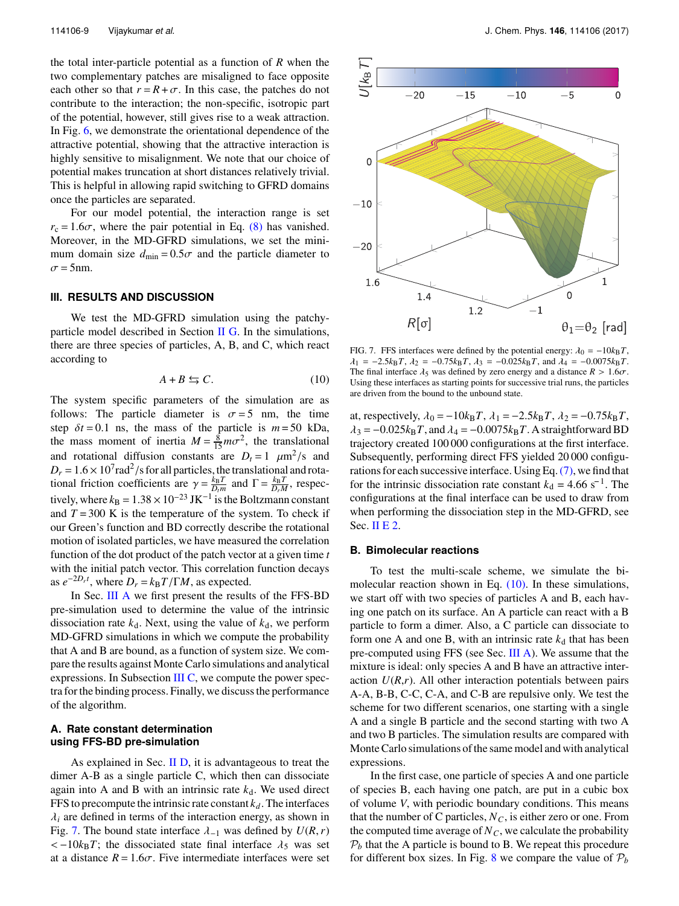the total inter-particle potential as a function of *R* when the two complementary patches are misaligned to face opposite each other so that  $r = R + \sigma$ . In this case, the patches do not contribute to the interaction; the non-specific, isotropic part of the potential, however, still gives rise to a weak attraction. In Fig. [6,](#page-8-1) we demonstrate the orientational dependence of the attractive potential, showing that the attractive interaction is highly sensitive to misalignment. We note that our choice of potential makes truncation at short distances relatively trivial. This is helpful in allowing rapid switching to GFRD domains once the particles are separated.

For our model potential, the interaction range is set  $r_c = 1.6\sigma$ , where the pair potential in Eq. [\(8\)](#page-8-2) has vanished. Moreover, in the MD-GFRD simulations, we set the minimum domain size  $d_{\text{min}} = 0.5\sigma$  and the particle diameter to  $\sigma$  = 5nm.

#### **III. RESULTS AND DISCUSSION**

We test the MD-GFRD simulation using the patchy-particle model described in Section [II G.](#page-7-1) In the simulations, there are three species of particles, A, B, and C, which react according to

$$
A + B \leftrightarrows C. \tag{10}
$$

The system specific parameters of the simulation are as follows: The particle diameter is  $\sigma = 5$  nm, the time step  $\delta t = 0.1$  ns, the mass of the particle is  $m = 50$  kDa, the mass moment of inertia  $M = \frac{8}{15} m \sigma^2$ , the translational and retational diffusion constants are  $D = 1$ ,  $\mu m^2/\epsilon$  and and rotational diffusion constants are  $D_t = 1 \mu m^2/s$  and<br> $D_t = 1.6 \times 10^7 rad^2/s$  for all particles the translational and rota- $D_r = 1.6 \times 10^7$  rad<sup>2</sup>/s for all particles, the translational and rota-<br>tional friction coefficients are  $\gamma = \frac{k_B T}{r}$  and  $\Gamma = \frac{k_B T}{r}$  respectional friction coefficients are  $\gamma = \frac{k_B T}{D_r M}$  and  $\Gamma = \frac{k_B T}{D_r M}$ , respec-<br>*i* and the position of  $1.28 \times 10^{-23}$  Website Polynomials and the position tively, where  $k_B = 1.38 \times 10^{-23}$  JK<sup>-1</sup> is the Boltzmann constant and  $T = 300$  K is the temperature of the system. To check if our Green's function and BD correctly describe the rotational motion of isolated particles, we have measured the correlation function of the dot product of the patch vector at a given time *t* with the initial patch vector. This correlation function decays as  $e^{-2D_r t}$ , where  $D_r = k_B T / \Gamma M$ , as expected.<br>In Sec. III A we first present the result

In Sec. [III A](#page-9-0) we first present the results of the FFS-BD pre-simulation used to determine the value of the intrinsic dissociation rate  $k_d$ . Next, using the value of  $k_d$ , we perform MD-GFRD simulations in which we compute the probability that A and B are bound, as a function of system size. We compare the results against Monte Carlo simulations and analytical expressions. In Subsection [III C,](#page-10-0) we compute the power spectra for the binding process. Finally, we discuss the performance of the algorithm.

# <span id="page-9-0"></span>**A. Rate constant determination using FFS-BD pre-simulation**

As explained in Sec. [II D,](#page-5-1) it is advantageous to treat the dimer A-B as a single particle C, which then can dissociate again into A and B with an intrinsic rate  $k_d$ . We used direct FFS to precompute the intrinsic rate constant  $k_d$ . The interfaces  $\lambda_i$  are defined in terms of the interaction energy, as shown in Fig. [7.](#page-9-1) The bound state interface  $\lambda_{-1}$  was defined by  $U(R, r)$  $<-10k_BT$ ; the dissociated state final interface  $\lambda_5$  was set at a distance  $R = 1.6\sigma$ . Five intermediate interfaces were set

<span id="page-9-1"></span>

<span id="page-9-2"></span>FIG. 7. FFS interfaces were defined by the potential energy:  $\lambda_0 = -10k_BT$ ,  $\lambda_1 = -2.5k_B T$ ,  $\lambda_2 = -0.75k_B T$ ,  $\lambda_3 = -0.025k_B T$ , and  $\lambda_4 = -0.0075k_B T$ . The final interface  $\lambda_5$  was defined by zero energy and a distance  $R > 1.6\sigma$ . Using these interfaces as starting points for successive trial runs, the particles are driven from the bound to the unbound state.

at, respectively,  $\lambda_0 = -10k_B T$ ,  $\lambda_1 = -2.5k_B T$ ,  $\lambda_2 = -0.75k_B T$ ,  $\lambda_3 = -0.025k_BT$ , and  $\lambda_4 = -0.0075k_BT$ . A straightforward BD trajectory created 100 000 configurations at the first interface. Subsequently, performing direct FFS yielded 20 000 configurations for each successive interface. Using Eq.[\(7\),](#page-7-4) we find that Subsequently, performing direct FFS yielded 20 000 configurations for each successive interface. Using Eq. (7), we find that for the intrinsic dissociation rate constant  $k_d = 4.66 \text{ s}^{-1}$ . The configurations at the final interface can be used to draw from when performing the dissociation step in the MD-GFRD, see Sec. [II E 2.](#page-6-0)

#### <span id="page-9-3"></span>**B. Bimolecular reactions**

To test the multi-scale scheme, we simulate the bimolecular reaction shown in Eq.  $(10)$ . In these simulations, we start off with two species of particles A and B, each having one patch on its surface. An A particle can react with a B particle to form a dimer. Also, a C particle can dissociate to form one A and one B, with an intrinsic rate  $k_d$  that has been pre-computed using FFS (see Sec. [III A\)](#page-9-0). We assume that the mixture is ideal: only species A and B have an attractive interaction  $U(R,r)$ . All other interaction potentials between pairs A-A, B-B, C-C, C-A, and C-B are repulsive only. We test the scheme for two different scenarios, one starting with a single A and a single B particle and the second starting with two A and two B particles. The simulation results are compared with Monte Carlo simulations of the same model and with analytical expressions.

In the first case, one particle of species A and one particle of species B, each having one patch, are put in a cubic box of volume *V*, with periodic boundary conditions. This means that the number of C particles,  $N_C$ , is either zero or one. From the computed time average of  $N_C$ , we calculate the probability  $P<sub>b</sub>$  that the A particle is bound to B. We repeat this procedure for different box sizes. In Fig. [8](#page-10-1) we compare the value of  $P_b$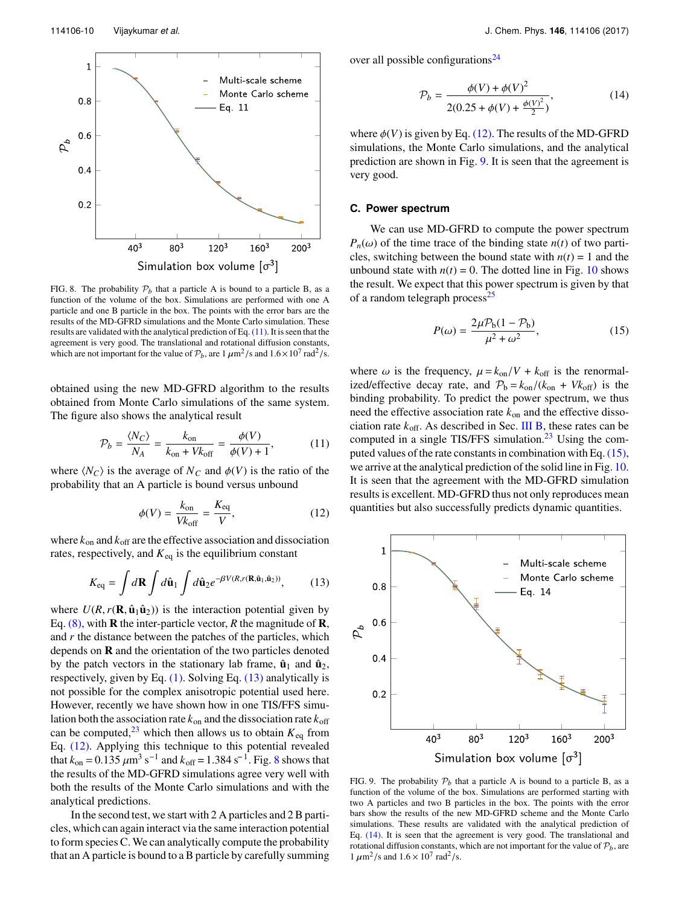<span id="page-10-1"></span>

FIG. 8. The probability  $P_b$  that a particle A is bound to a particle B, as a function of the volume of the box. Simulations are performed with one A particle and one B particle in the box. The points with the error bars are the results of the MD-GFRD simulations and the Monte Carlo simulation. These results are validated with the analytical prediction of Eq.[\(11\).](#page-10-2) It is seen that the agreement is very good. The translational and rotational diffusion constants, which are not important for the value of  $P_b$ , are  $1 \mu \text{m}^2/\text{s}$  and  $1.6 \times 10^7 \text{ rad}^2/\text{s}$ .

obtained using the new MD-GFRD algorithm to the results obtained from Monte Carlo simulations of the same system. The figure also shows the analytical result

$$
\mathcal{P}_b = \frac{\langle N_C \rangle}{N_A} = \frac{k_{\text{on}}}{k_{\text{on}} + Vk_{\text{off}}} = \frac{\phi(V)}{\phi(V) + 1},\tag{11}
$$

where  $\langle N_C \rangle$  is the average of  $N_C$  and  $\phi(V)$  is the ratio of the probability that an A particle is bound versus unbound

$$
\phi(V) = \frac{k_{\text{on}}}{V k_{\text{off}}} = \frac{K_{\text{eq}}}{V},\tag{12}
$$

where  $k_{on}$  and  $k_{off}$  are the effective association and dissociation rates, respectively, and  $K_{eq}$  is the equilibrium constant

$$
K_{\text{eq}} = \int d\mathbf{R} \int d\hat{\mathbf{u}}_1 \int d\hat{\mathbf{u}}_2 e^{-\beta V(R,r(\mathbf{R}, \hat{\mathbf{u}}_1, \hat{\mathbf{u}}_2))}, \quad (13)
$$

where  $U(R, r(\mathbf{R}, \hat{\mathbf{u}}_1 \hat{\mathbf{u}}_2))$  is the interaction potential given by Eq. [\(8\),](#page-8-2) with **R** the inter-particle vector, *R* the magnitude of **R**, and *r* the distance between the patches of the particles, which depends on **R** and the orientation of the two particles denoted by the patch vectors in the stationary lab frame,  $\hat{\mathbf{u}}_1$  and  $\hat{\mathbf{u}}_2$ , respectively, given by Eq. [\(1\).](#page-3-2) Solving Eq. [\(13\)](#page-10-3) analytically is not possible for the complex anisotropic potential used here. However, recently we have shown how in one TIS/FFS simulation both the association rate  $k_{on}$  and the dissociation rate  $k_{off}$ can be computed,  $^{23}$  $^{23}$  $^{23}$  which then allows us to obtain  $K_{eq}$  from Eq. [\(12\).](#page-10-4) Applying this technique to this potential revealed can be computed,<sup>23</sup> which then allows us to obtain  $K_{eq}$  from<br>Eq. (12). Applying this technique to this potential revealed<br>that  $k_{on} = 0.135 \ \mu m^3 s^{-1}$  and  $k_{off} = 1.384 s^{-1}$  $k_{off} = 1.384 s^{-1}$  $k_{off} = 1.384 s^{-1}$ . Fig. 8 shows that the results of the MD-GFRD simulations agree very well with both the results of the Monte Carlo simulations and with the analytical predictions.

In the second test, we start with 2 A particles and 2 B particles, which can again interact via the same interaction potential to form species C. We can analytically compute the probability that an A particle is bound to a B particle by carefully summing over all possible configurations<sup>[24](#page-12-20)</sup>

<span id="page-10-7"></span>
$$
\mathcal{P}_b = \frac{\phi(V) + \phi(V)^2}{2(0.25 + \phi(V) + \frac{\phi(V)^2}{2})},\tag{14}
$$

where  $\phi(V)$  is given by Eq. [\(12\).](#page-10-4) The results of the MD-GFRD simulations, the Monte Carlo simulations, and the analytical prediction are shown in Fig. [9.](#page-10-5) It is seen that the agreement is very good.

#### <span id="page-10-0"></span>**C. Power spectrum**

We can use MD-GFRD to compute the power spectrum  $P_n(\omega)$  of the time trace of the binding state  $n(t)$  of two particles, switching between the bound state with  $n(t) = 1$  and the unbound state with  $n(t) = 0$ . The dotted line in Fig. [10](#page-11-0) shows the result. We expect that this power spectrum is given by that of a random telegraph process $^{25}$  $^{25}$  $^{25}$ 

<span id="page-10-6"></span>
$$
P(\omega) = \frac{2\mu P_b (1 - P_b)}{\mu^2 + \omega^2},\tag{15}
$$

<span id="page-10-2"></span>where  $\omega$  is the frequency,  $\mu = k_{on}/V + k_{off}$  is the renormalized/effective decay rate, and  $P_b = k_{on}/(k_{on} + Vk_{off})$  is the binding probability. To predict the power spectrum, we thus need the effective association rate  $k_{on}$  and the effective dissociation rate  $k_{\text{off}}$ . As described in Sec. [III B,](#page-9-3) these rates can be computed in a single TIS/FFS simulation. $2<sup>3</sup>$  Using the com-puted values of the rate constants in combination with Eq. [\(15\),](#page-10-6) we arrive at the analytical prediction of the solid line in Fig. [10.](#page-11-0) It is seen that the agreement with the MD-GFRD simulation results is excellent. MD-GFRD thus not only reproduces mean quantities but also successfully predicts dynamic quantities.

<span id="page-10-5"></span><span id="page-10-4"></span><span id="page-10-3"></span>

FIG. 9. The probability  $P_b$  that a particle A is bound to a particle B, as a function of the volume of the box. Simulations are performed starting with two A particles and two B particles in the box. The points with the error bars show the results of the new MD-GFRD scheme and the Monte Carlo simulations. These results are validated with the analytical prediction of Eq. [\(14\).](#page-10-7) It is seen that the agreement is very good. The translational and rotational diffusion constants, which are not important for the value of  $P_b$ , are  $1 \mu \text{m}^2/\text{s}$  and  $1.6 \times 10^7 \text{ rad}^2/\text{s}$ .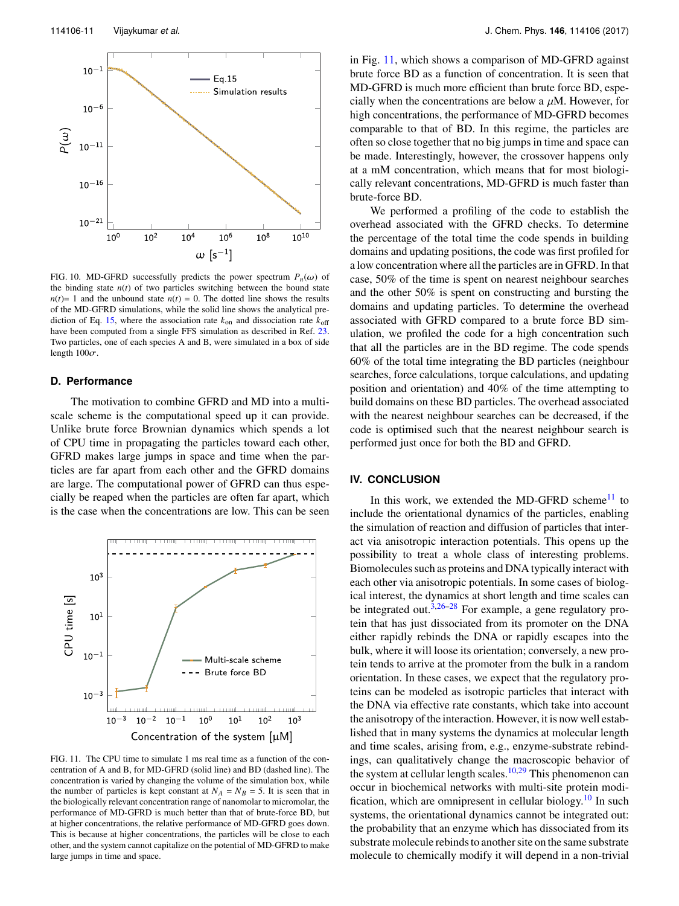<span id="page-11-0"></span>

FIG. 10. MD-GFRD successfully predicts the power spectrum  $P_n(\omega)$  of the binding state  $n(t)$  of two particles switching between the bound state  $n(t)=1$  and the unbound state  $n(t)=0$ . The dotted line shows the results of the MD-GFRD simulations, while the solid line shows the analytical pre-diction of Eq. [15,](#page-10-6) where the association rate  $k_{on}$  and dissociation rate  $k_{off}$ have been computed from a single FFS simulation as described in Ref. [23.](#page-12-19) Two particles, one of each species A and B, were simulated in a box of side length  $100\sigma$ .

#### **D. Performance**

The motivation to combine GFRD and MD into a multiscale scheme is the computational speed up it can provide. Unlike brute force Brownian dynamics which spends a lot of CPU time in propagating the particles toward each other, GFRD makes large jumps in space and time when the particles are far apart from each other and the GFRD domains are large. The computational power of GFRD can thus especially be reaped when the particles are often far apart, which is the case when the concentrations are low. This can be seen

<span id="page-11-1"></span>

FIG. 11. The CPU time to simulate 1 ms real time as a function of the concentration of A and B, for MD-GFRD (solid line) and BD (dashed line). The concentration is varied by changing the volume of the simulation box, while the number of particles is kept constant at  $N_A = N_B = 5$ . It is seen that in the biologically relevant concentration range of nanomolar to micromolar, the performance of MD-GFRD is much better than that of brute-force BD, but at higher concentrations, the relative performance of MD-GFRD goes down. This is because at higher concentrations, the particles will be close to each other, and the system cannot capitalize on the potential of MD-GFRD to make large jumps in time and space.

in Fig. [11,](#page-11-1) which shows a comparison of MD-GFRD against brute force BD as a function of concentration. It is seen that MD-GFRD is much more efficient than brute force BD, especially when the concentrations are below a  $\mu$ M. However, for high concentrations, the performance of MD-GFRD becomes comparable to that of BD. In this regime, the particles are often so close together that no big jumps in time and space can be made. Interestingly, however, the crossover happens only at a mM concentration, which means that for most biologically relevant concentrations, MD-GFRD is much faster than brute-force BD.

We performed a profiling of the code to establish the overhead associated with the GFRD checks. To determine the percentage of the total time the code spends in building domains and updating positions, the code was first profiled for a low concentration where all the particles are in GFRD. In that case, 50% of the time is spent on nearest neighbour searches and the other 50% is spent on constructing and bursting the domains and updating particles. To determine the overhead associated with GFRD compared to a brute force BD simulation, we profiled the code for a high concentration such that all the particles are in the BD regime. The code spends 60% of the total time integrating the BD particles (neighbour searches, force calculations, torque calculations, and updating position and orientation) and 40% of the time attempting to build domains on these BD particles. The overhead associated with the nearest neighbour searches can be decreased, if the code is optimised such that the nearest neighbour search is performed just once for both the BD and GFRD.

# **IV. CONCLUSION**

In this work, we extended the MD-GFRD scheme $11$  to include the orientational dynamics of the particles, enabling the simulation of reaction and diffusion of particles that interact via anisotropic interaction potentials. This opens up the possibility to treat a whole class of interesting problems. Biomolecules such as proteins and DNA typically interact with each other via anisotropic potentials. In some cases of biological interest, the dynamics at short length and time scales can be integrated out.<sup>[3](#page-12-2)[,26](#page-12-22)[–28](#page-12-23)</sup> For example, a gene regulatory protein that has just dissociated from its promoter on the DNA either rapidly rebinds the DNA or rapidly escapes into the bulk, where it will loose its orientation; conversely, a new protein tends to arrive at the promoter from the bulk in a random orientation. In these cases, we expect that the regulatory proteins can be modeled as isotropic particles that interact with the DNA via effective rate constants, which take into account the anisotropy of the interaction. However, it is now well established that in many systems the dynamics at molecular length and time scales, arising from, e.g., enzyme-substrate rebindings, can qualitatively change the macroscopic behavior of the system at cellular length scales.<sup>[10,](#page-12-7)[29](#page-12-24)</sup> This phenomenon can occur in biochemical networks with multi-site protein modi-fication, which are omnipresent in cellular biology.<sup>[10](#page-12-7)</sup> In such systems, the orientational dynamics cannot be integrated out: the probability that an enzyme which has dissociated from its substrate molecule rebinds to another site on the same substrate molecule to chemically modify it will depend in a non-trivial